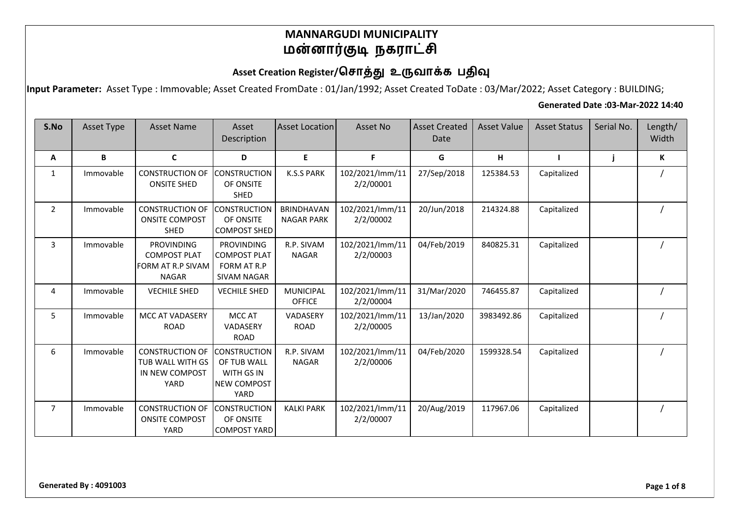### Asset Creation Register/சொத்து உருவாக்க பதிவு

**Input Parameter:** Asset Type : Immovable; Asset Created FromDate : 01/Jan/1992; Asset Created ToDate : 03/Mar/2022; Asset Category : BUILDING;

#### **Generated Date :03-Mar-2022 14:40**

| S.No           | Asset Type | <b>Asset Name</b>                                                             | Asset<br>Description                                                                  | <b>Asset Location</b>                  | Asset No                     | <b>Asset Created</b><br>Date | <b>Asset Value</b> | <b>Asset Status</b> | Serial No. | Length/<br>Width |
|----------------|------------|-------------------------------------------------------------------------------|---------------------------------------------------------------------------------------|----------------------------------------|------------------------------|------------------------------|--------------------|---------------------|------------|------------------|
| Α              | B          | $\mathbf{C}$                                                                  | D                                                                                     | E                                      | F.                           | G                            | н                  |                     |            | К                |
| $\mathbf{1}$   | Immovable  | <b>CONSTRUCTION OF</b><br><b>ONSITE SHED</b>                                  | <b>CONSTRUCTION</b><br>OF ONSITE<br><b>SHED</b>                                       | <b>K.S.S PARK</b>                      | 102/2021/lmm/11<br>2/2/00001 | 27/Sep/2018                  | 125384.53          | Capitalized         |            |                  |
| $\overline{2}$ | Immovable  | <b>CONSTRUCTION OF</b><br><b>ONSITE COMPOST</b><br><b>SHED</b>                | <b>CONSTRUCTION</b><br>OF ONSITE<br><b>COMPOST SHED</b>                               | <b>BRINDHAVAN</b><br><b>NAGAR PARK</b> | 102/2021/lmm/11<br>2/2/00002 | 20/Jun/2018                  | 214324.88          | Capitalized         |            |                  |
| 3              | Immovable  | <b>PROVINDING</b><br><b>COMPOST PLAT</b><br>FORM AT R.P SIVAM<br><b>NAGAR</b> | <b>PROVINDING</b><br><b>COMPOST PLAT</b><br>FORM AT R.P<br><b>SIVAM NAGAR</b>         | R.P. SIVAM<br><b>NAGAR</b>             | 102/2021/lmm/11<br>2/2/00003 | 04/Feb/2019                  | 840825.31          | Capitalized         |            |                  |
| 4              | Immovable  | <b>VECHILE SHED</b>                                                           | <b>VECHILE SHED</b>                                                                   | <b>MUNICIPAL</b><br><b>OFFICE</b>      | 102/2021/lmm/11<br>2/2/00004 | 31/Mar/2020                  | 746455.87          | Capitalized         |            |                  |
| 5              | Immovable  | <b>MCC AT VADASERY</b><br><b>ROAD</b>                                         | MCC AT<br>VADASERY<br><b>ROAD</b>                                                     | VADASERY<br><b>ROAD</b>                | 102/2021/lmm/11<br>2/2/00005 | 13/Jan/2020                  | 3983492.86         | Capitalized         |            |                  |
| 6              | Immovable  | <b>CONSTRUCTION OF</b><br><b>TUB WALL WITH GS</b><br>IN NEW COMPOST<br>YARD   | <b>CONSTRUCTION</b><br>OF TUB WALL<br><b>WITH GS IN</b><br><b>NEW COMPOST</b><br>YARD | R.P. SIVAM<br><b>NAGAR</b>             | 102/2021/lmm/11<br>2/2/00006 | 04/Feb/2020                  | 1599328.54         | Capitalized         |            |                  |
| $\overline{7}$ | Immovable  | <b>CONSTRUCTION OF</b><br><b>ONSITE COMPOST</b><br>YARD                       | <b>CONSTRUCTION</b><br>OF ONSITE<br><b>COMPOST YARD</b>                               | <b>KALKI PARK</b>                      | 102/2021/lmm/11<br>2/2/00007 | 20/Aug/2019                  | 117967.06          | Capitalized         |            |                  |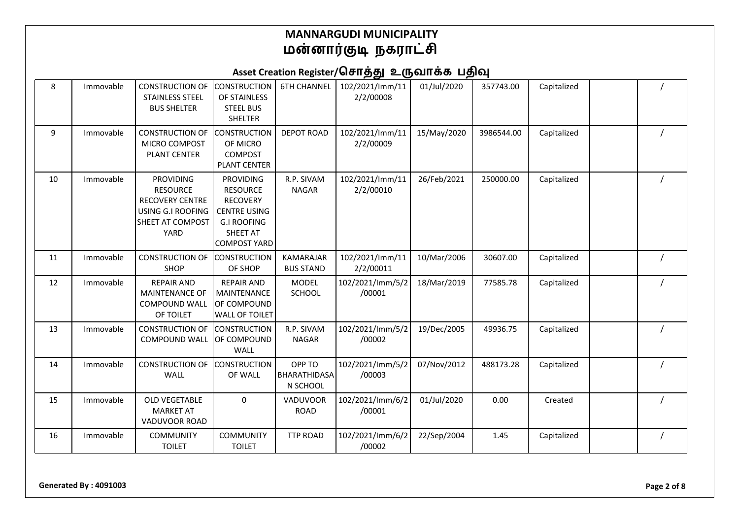| 8  | Immovable | <b>CONSTRUCTION OF</b><br><b>STAINLESS STEEL</b><br><b>BUS SHELTER</b>                                         | <b>CONSTRUCTION</b><br>OF STAINLESS<br><b>STEEL BUS</b><br>SHELTER                                                                     | <b>6TH CHANNEL</b>                   | 102/2021/lmm/11<br>2/2/00008 | 01/Jul/2020 | 357743.00  | Capitalized |  |
|----|-----------|----------------------------------------------------------------------------------------------------------------|----------------------------------------------------------------------------------------------------------------------------------------|--------------------------------------|------------------------------|-------------|------------|-------------|--|
| 9  | Immovable | <b>CONSTRUCTION OF</b><br>MICRO COMPOST<br>PLANT CENTER                                                        | CONSTRUCTION<br>OF MICRO<br>COMPOST<br><b>PLANT CENTER</b>                                                                             | <b>DEPOT ROAD</b>                    | 102/2021/lmm/11<br>2/2/00009 | 15/May/2020 | 3986544.00 | Capitalized |  |
| 10 | Immovable | <b>PROVIDING</b><br><b>RESOURCE</b><br><b>RECOVERY CENTRE</b><br>USING G.I ROOFING<br>SHEET AT COMPOST<br>YARD | <b>PROVIDING</b><br><b>RESOURCE</b><br><b>RECOVERY</b><br><b>CENTRE USING</b><br><b>G.I ROOFING</b><br>SHEET AT<br><b>COMPOST YARD</b> | R.P. SIVAM<br><b>NAGAR</b>           | 102/2021/lmm/11<br>2/2/00010 | 26/Feb/2021 | 250000.00  | Capitalized |  |
| 11 | Immovable | <b>CONSTRUCTION OF</b><br>SHOP                                                                                 | <b>CONSTRUCTION</b><br>OF SHOP                                                                                                         | <b>KAMARAJAR</b><br><b>BUS STAND</b> | 102/2021/lmm/11<br>2/2/00011 | 10/Mar/2006 | 30607.00   | Capitalized |  |
| 12 | Immovable | <b>REPAIR AND</b><br>MAINTENANCE OF<br><b>COMPOUND WALL</b><br>OF TOILET                                       | <b>REPAIR AND</b><br>MAINTENANCE<br>OF COMPOUND<br><b>WALL OF TOILET</b>                                                               | <b>MODEL</b><br>SCHOOL               | 102/2021/lmm/5/2<br>/00001   | 18/Mar/2019 | 77585.78   | Capitalized |  |
| 13 | Immovable | <b>CONSTRUCTION OF</b><br><b>COMPOUND WALL</b>                                                                 | <b>CONSTRUCTION</b><br>OF COMPOUND<br>WALL                                                                                             | R.P. SIVAM<br><b>NAGAR</b>           | 102/2021/lmm/5/2<br>/00002   | 19/Dec/2005 | 49936.75   | Capitalized |  |
| 14 | Immovable | <b>CONSTRUCTION OF</b><br><b>WALL</b>                                                                          | <b>CONSTRUCTION</b><br>OF WALL                                                                                                         | OPP TO<br>BHARATHIDASA<br>N SCHOOL   | 102/2021/lmm/5/2<br>/00003   | 07/Nov/2012 | 488173.28  | Capitalized |  |
| 15 | Immovable | <b>OLD VEGETABLE</b><br><b>MARKET AT</b><br>VADUVOOR ROAD                                                      | 0                                                                                                                                      | <b>VADUVOOR</b><br><b>ROAD</b>       | 102/2021/lmm/6/2<br>/00001   | 01/Jul/2020 | 0.00       | Created     |  |
| 16 | Immovable | <b>COMMUNITY</b><br><b>TOILET</b>                                                                              | <b>COMMUNITY</b><br><b>TOILET</b>                                                                                                      | <b>TTP ROAD</b>                      | 102/2021/lmm/6/2<br>/00002   | 22/Sep/2004 | 1.45       | Capitalized |  |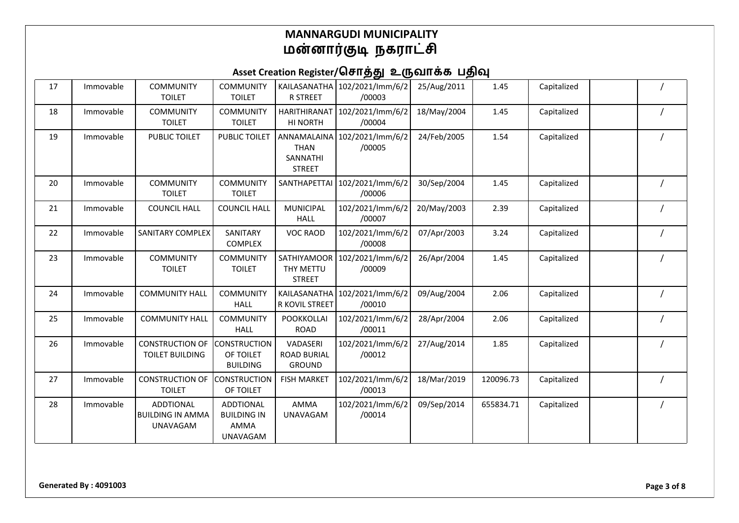| 17 | Immovable | <b>COMMUNITY</b><br><b>TOILET</b>                              | <b>COMMUNITY</b><br><b>TOILET</b>                                 | <b>R STREET</b>                                 | KAILASANATHA 102/2021/Imm/6/2<br>/00003 | 25/Aug/2011 | 1.45      | Capitalized |  |
|----|-----------|----------------------------------------------------------------|-------------------------------------------------------------------|-------------------------------------------------|-----------------------------------------|-------------|-----------|-------------|--|
| 18 | Immovable | <b>COMMUNITY</b><br><b>TOILET</b>                              | <b>COMMUNITY</b><br><b>TOILET</b>                                 | HARITHIRANAT<br>HI NORTH                        | 102/2021/lmm/6/2<br>/00004              | 18/May/2004 | 1.45      | Capitalized |  |
| 19 | Immovable | <b>PUBLIC TOILET</b>                                           | PUBLIC TOILET                                                     | <b>THAN</b><br>SANNATHI<br><b>STREET</b>        | ANNAMALAINA 102/2021/Imm/6/2<br>/00005  | 24/Feb/2005 | 1.54      | Capitalized |  |
| 20 | Immovable | <b>COMMUNITY</b><br><b>TOILET</b>                              | <b>COMMUNITY</b><br><b>TOILET</b>                                 | SANTHAPETTAI                                    | 102/2021/lmm/6/2<br>/00006              | 30/Sep/2004 | 1.45      | Capitalized |  |
| 21 | Immovable | <b>COUNCIL HALL</b>                                            | <b>COUNCIL HALL</b>                                               | <b>MUNICIPAL</b><br><b>HALL</b>                 | 102/2021/lmm/6/2<br>/00007              | 20/May/2003 | 2.39      | Capitalized |  |
| 22 | Immovable | SANITARY COMPLEX                                               | SANITARY<br>COMPLEX                                               | <b>VOC RAOD</b>                                 | 102/2021/lmm/6/2<br>/00008              | 07/Apr/2003 | 3.24      | Capitalized |  |
| 23 | Immovable | <b>COMMUNITY</b><br><b>TOILET</b>                              | <b>COMMUNITY</b><br><b>TOILET</b>                                 | SATHIYAMOOR<br>THY METTU<br><b>STREET</b>       | 102/2021/lmm/6/2<br>/00009              | 26/Apr/2004 | 1.45      | Capitalized |  |
| 24 | Immovable | <b>COMMUNITY HALL</b>                                          | <b>COMMUNITY</b><br><b>HALL</b>                                   | R KOVIL STREET                                  | KAILASANATHA 102/2021/Imm/6/2<br>/00010 | 09/Aug/2004 | 2.06      | Capitalized |  |
| 25 | Immovable | <b>COMMUNITY HALL</b>                                          | <b>COMMUNITY</b><br><b>HALL</b>                                   | <b>POOKKOLLAI</b><br><b>ROAD</b>                | 102/2021/lmm/6/2<br>/00011              | 28/Apr/2004 | 2.06      | Capitalized |  |
| 26 | Immovable | <b>CONSTRUCTION OF</b><br><b>TOILET BUILDING</b>               | <b>CONSTRUCTION</b><br>OF TOILET<br><b>BUILDING</b>               | VADASERI<br><b>ROAD BURIAL</b><br><b>GROUND</b> | 102/2021/lmm/6/2<br>/00012              | 27/Aug/2014 | 1.85      | Capitalized |  |
| 27 | Immovable | <b>CONSTRUCTION OF</b><br><b>TOILET</b>                        | <b>CONSTRUCTION</b><br>OF TOILET                                  | <b>FISH MARKET</b>                              | 102/2021/lmm/6/2<br>/00013              | 18/Mar/2019 | 120096.73 | Capitalized |  |
| 28 | Immovable | <b>ADDTIONAL</b><br><b>BUILDING IN AMMA</b><br><b>UNAVAGAM</b> | <b>ADDTIONAL</b><br><b>BUILDING IN</b><br>AMMA<br><b>UNAVAGAM</b> | <b>AMMA</b><br><b>UNAVAGAM</b>                  | 102/2021/lmm/6/2<br>/00014              | 09/Sep/2014 | 655834.71 | Capitalized |  |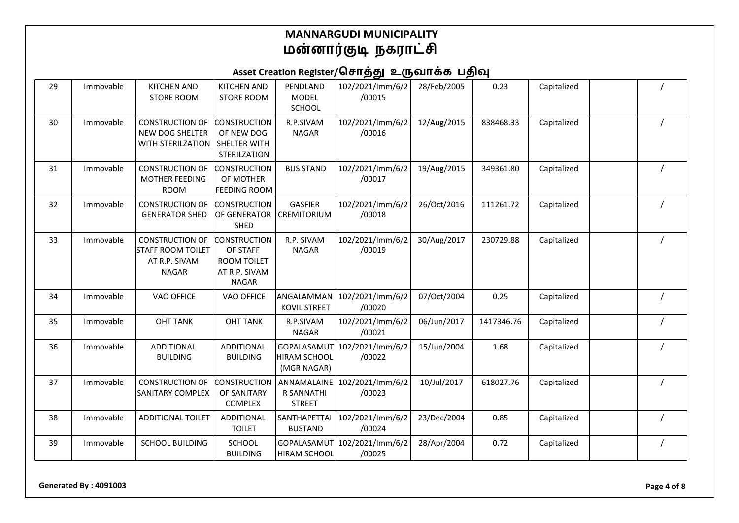| 29 | Immovable | <b>KITCHEN AND</b><br><b>STORE ROOM</b>                                             | <b>KITCHEN AND</b><br><b>STORE ROOM</b>                                                | PENDLAND<br><b>MODEL</b><br>SCHOOL                | 102/2021/lmm/6/2<br>/00015             | 28/Feb/2005 | 0.23       | Capitalized |  |
|----|-----------|-------------------------------------------------------------------------------------|----------------------------------------------------------------------------------------|---------------------------------------------------|----------------------------------------|-------------|------------|-------------|--|
| 30 | Immovable | <b>CONSTRUCTION OF</b><br>NEW DOG SHELTER<br><b>WITH STERILZATION</b>               | <b>CONSTRUCTION</b><br>OF NEW DOG<br>SHELTER WITH<br>STERILZATION                      | R.P.SIVAM<br><b>NAGAR</b>                         | 102/2021/lmm/6/2<br>/00016             | 12/Aug/2015 | 838468.33  | Capitalized |  |
| 31 | Immovable | <b>CONSTRUCTION OF</b><br><b>MOTHER FEEDING</b><br><b>ROOM</b>                      | <b>CONSTRUCTION</b><br>OF MOTHER<br><b>FEEDING ROOM</b>                                | <b>BUS STAND</b>                                  | 102/2021/lmm/6/2<br>/00017             | 19/Aug/2015 | 349361.80  | Capitalized |  |
| 32 | Immovable | <b>CONSTRUCTION OF</b><br><b>GENERATOR SHED</b>                                     | <b>CONSTRUCTION</b><br>OF GENERATOR<br>SHED                                            | <b>GASFIER</b><br>CREMITORIUM                     | 102/2021/lmm/6/2<br>/00018             | 26/Oct/2016 | 111261.72  | Capitalized |  |
| 33 | Immovable | <b>CONSTRUCTION OF</b><br><b>STAFF ROOM TOILET</b><br>AT R.P. SIVAM<br><b>NAGAR</b> | <b>CONSTRUCTION</b><br>OF STAFF<br><b>ROOM TOILET</b><br>AT R.P. SIVAM<br><b>NAGAR</b> | R.P. SIVAM<br><b>NAGAR</b>                        | 102/2021/lmm/6/2<br>/00019             | 30/Aug/2017 | 230729.88  | Capitalized |  |
| 34 | Immovable | <b>VAO OFFICE</b>                                                                   | VAO OFFICE                                                                             | ANGALAMMAN<br><b>KOVIL STREET</b>                 | 102/2021/lmm/6/2<br>/00020             | 07/Oct/2004 | 0.25       | Capitalized |  |
| 35 | Immovable | <b>OHT TANK</b>                                                                     | <b>OHT TANK</b>                                                                        | R.P.SIVAM<br><b>NAGAR</b>                         | 102/2021/lmm/6/2<br>/00021             | 06/Jun/2017 | 1417346.76 | Capitalized |  |
| 36 | Immovable | <b>ADDITIONAL</b><br><b>BUILDING</b>                                                | ADDITIONAL<br><b>BUILDING</b>                                                          | GOPALASAMUT<br><b>HIRAM SCHOOL</b><br>(MGR NAGAR) | 102/2021/lmm/6/2<br>/00022             | 15/Jun/2004 | 1.68       | Capitalized |  |
| 37 | Immovable | <b>CONSTRUCTION OF</b><br><b>SANITARY COMPLEX</b>                                   | <b>CONSTRUCTION</b><br>OF SANITARY<br>COMPLEX                                          | ANNAMALAINE<br>R SANNATHI<br><b>STREET</b>        | 102/2021/lmm/6/2<br>/00023             | 10/Jul/2017 | 618027.76  | Capitalized |  |
| 38 | Immovable | <b>ADDITIONAL TOILET</b>                                                            | <b>ADDITIONAL</b><br><b>TOILET</b>                                                     | SANTHAPETTAI<br><b>BUSTAND</b>                    | 102/2021/lmm/6/2<br>/00024             | 23/Dec/2004 | 0.85       | Capitalized |  |
| 39 | Immovable | <b>SCHOOL BUILDING</b>                                                              | <b>SCHOOL</b><br><b>BUILDING</b>                                                       | HIRAM SCHOOL                                      | GOPALASAMUT 102/2021/Imm/6/2<br>/00025 | 28/Apr/2004 | 0.72       | Capitalized |  |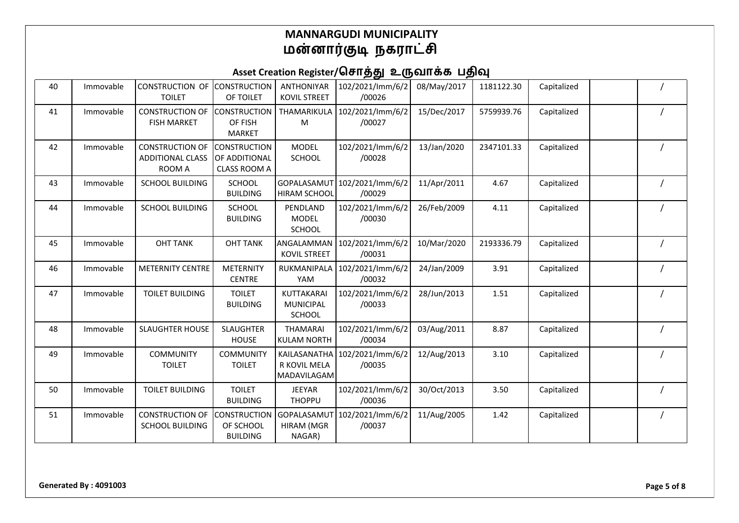| 40 | Immovable | <b>CONSTRUCTION OF</b><br><b>TOILET</b>                     | <b>CONSTRUCTION</b><br>OF TOILET                     | <b>ANTHONIYAR</b><br><b>KOVIL STREET</b>        | 102/2021/lmm/6/2<br>/00026 | 08/May/2017 | 1181122.30 | Capitalized |  |
|----|-----------|-------------------------------------------------------------|------------------------------------------------------|-------------------------------------------------|----------------------------|-------------|------------|-------------|--|
| 41 | Immovable | <b>CONSTRUCTION OF</b><br><b>FISH MARKET</b>                | <b>CONSTRUCTION</b><br>OF FISH<br><b>MARKET</b>      | THAMARIKULA<br>M                                | 102/2021/lmm/6/2<br>/00027 | 15/Dec/2017 | 5759939.76 | Capitalized |  |
| 42 | Immovable | <b>CONSTRUCTION OF</b><br><b>ADDITIONAL CLASS</b><br>ROOM A | <b>CONSTRUCTION</b><br>OF ADDITIONAL<br>CLASS ROOM A | <b>MODEL</b><br>SCHOOL                          | 102/2021/lmm/6/2<br>/00028 | 13/Jan/2020 | 2347101.33 | Capitalized |  |
| 43 | Immovable | <b>SCHOOL BUILDING</b>                                      | SCHOOL<br><b>BUILDING</b>                            | GOPALASAMUT<br><b>HIRAM SCHOOL</b>              | 102/2021/lmm/6/2<br>/00029 | 11/Apr/2011 | 4.67       | Capitalized |  |
| 44 | Immovable | <b>SCHOOL BUILDING</b>                                      | SCHOOL<br><b>BUILDING</b>                            | PENDLAND<br><b>MODEL</b><br>SCHOOL              | 102/2021/lmm/6/2<br>/00030 | 26/Feb/2009 | 4.11       | Capitalized |  |
| 45 | Immovable | <b>OHT TANK</b>                                             | <b>OHT TANK</b>                                      | ANGALAMMAN<br><b>KOVIL STREET</b>               | 102/2021/lmm/6/2<br>/00031 | 10/Mar/2020 | 2193336.79 | Capitalized |  |
| 46 | Immovable | <b>METERNITY CENTRE</b>                                     | <b>METERNITY</b><br><b>CENTRE</b>                    | RUKMANIPALA<br>YAM                              | 102/2021/lmm/6/2<br>/00032 | 24/Jan/2009 | 3.91       | Capitalized |  |
| 47 | Immovable | <b>TOILET BUILDING</b>                                      | <b>TOILET</b><br><b>BUILDING</b>                     | KUTTAKARAI<br><b>MUNICIPAL</b><br><b>SCHOOL</b> | 102/2021/lmm/6/2<br>/00033 | 28/Jun/2013 | 1.51       | Capitalized |  |
| 48 | Immovable | <b>SLAUGHTER HOUSE</b>                                      | <b>SLAUGHTER</b><br><b>HOUSE</b>                     | <b>THAMARAI</b><br><b>KULAM NORTH</b>           | 102/2021/lmm/6/2<br>/00034 | 03/Aug/2011 | 8.87       | Capitalized |  |
| 49 | Immovable | <b>COMMUNITY</b><br><b>TOILET</b>                           | <b>COMMUNITY</b><br><b>TOILET</b>                    | KAILASANATHA<br>R KOVIL MELA<br>MADAVILAGAM     | 102/2021/lmm/6/2<br>/00035 | 12/Aug/2013 | 3.10       | Capitalized |  |
| 50 | Immovable | <b>TOILET BUILDING</b>                                      | <b>TOILET</b><br><b>BUILDING</b>                     | <b>JEEYAR</b><br><b>THOPPU</b>                  | 102/2021/lmm/6/2<br>/00036 | 30/Oct/2013 | 3.50       | Capitalized |  |
| 51 | Immovable | <b>CONSTRUCTION OF</b><br><b>SCHOOL BUILDING</b>            | <b>CONSTRUCTION</b><br>OF SCHOOL<br><b>BUILDING</b>  | GOPALASAMUT<br><b>HIRAM (MGR</b><br>NAGAR)      | 102/2021/lmm/6/2<br>/00037 | 11/Aug/2005 | 1.42       | Capitalized |  |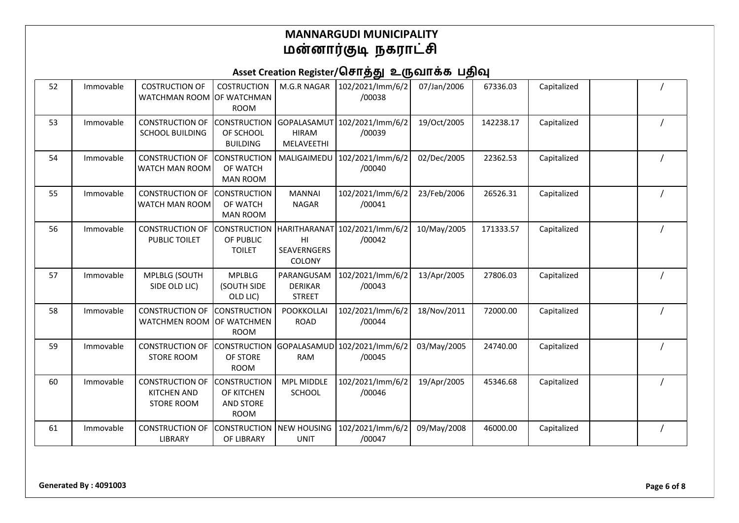| 52 | Immovable | <b>COSTRUCTION OF</b><br>WATCHMAN ROOM OF WATCHMAN                | <b>COSTRUCTION</b><br><b>ROOM</b>                             | M.G.R NAGAR                                   | 102/2021/lmm/6/2<br>/00038              | 07/Jan/2006 | 67336.03  | Capitalized |  |
|----|-----------|-------------------------------------------------------------------|---------------------------------------------------------------|-----------------------------------------------|-----------------------------------------|-------------|-----------|-------------|--|
| 53 | Immovable | <b>CONSTRUCTION OF</b><br><b>SCHOOL BUILDING</b>                  | <b>CONSTRUCTION</b><br>OF SCHOOL<br><b>BUILDING</b>           | <b>HIRAM</b><br>MELAVEETHI                    | GOPALASAMUT 102/2021/Imm/6/2<br>/00039  | 19/Oct/2005 | 142238.17 | Capitalized |  |
| 54 | Immovable | <b>CONSTRUCTION OF</b><br>WATCH MAN ROOM                          | <b>CONSTRUCTION</b><br>OF WATCH<br><b>MAN ROOM</b>            | MALIGAIMEDU                                   | 102/2021/lmm/6/2<br>/00040              | 02/Dec/2005 | 22362.53  | Capitalized |  |
| 55 | Immovable | <b>CONSTRUCTION OF</b><br>WATCH MAN ROOM                          | <b>CONSTRUCTION</b><br>OF WATCH<br><b>MAN ROOM</b>            | <b>MANNAI</b><br><b>NAGAR</b>                 | 102/2021/lmm/6/2<br>/00041              | 23/Feb/2006 | 26526.31  | Capitalized |  |
| 56 | Immovable | <b>CONSTRUCTION OF</b><br>PUBLIC TOILET                           | <b>CONSTRUCTION</b><br>OF PUBLIC<br><b>TOILET</b>             | H <sub>l</sub><br>SEAVERNGERS<br>COLONY       | HARITHARANAT 102/2021/Imm/6/2<br>/00042 | 10/May/2005 | 171333.57 | Capitalized |  |
| 57 | Immovable | MPLBLG (SOUTH<br>SIDE OLD LIC)                                    | <b>MPLBLG</b><br>(SOUTH SIDE<br>OLD LIC)                      | PARANGUSAM<br><b>DERIKAR</b><br><b>STREET</b> | 102/2021/lmm/6/2<br>/00043              | 13/Apr/2005 | 27806.03  | Capitalized |  |
| 58 | Immovable | <b>CONSTRUCTION OF</b><br><b>WATCHMEN ROOM</b>                    | <b>CONSTRUCTION</b><br><b>OF WATCHMEN</b><br><b>ROOM</b>      | <b>POOKKOLLAI</b><br><b>ROAD</b>              | 102/2021/lmm/6/2<br>/00044              | 18/Nov/2011 | 72000.00  | Capitalized |  |
| 59 | Immovable | <b>CONSTRUCTION OF</b><br><b>STORE ROOM</b>                       | <b>CONSTRUCTION</b><br>OF STORE<br><b>ROOM</b>                | <b>RAM</b>                                    | GOPALASAMUD 102/2021/Imm/6/2<br>/00045  | 03/May/2005 | 24740.00  | Capitalized |  |
| 60 | Immovable | <b>CONSTRUCTION OF</b><br><b>KITCHEN AND</b><br><b>STORE ROOM</b> | <b>CONSTRUCTION</b><br>OF KITCHEN<br>AND STORE<br><b>ROOM</b> | <b>MPL MIDDLE</b><br><b>SCHOOL</b>            | 102/2021/lmm/6/2<br>/00046              | 19/Apr/2005 | 45346.68  | Capitalized |  |
| 61 | Immovable | <b>CONSTRUCTION OF</b><br><b>LIBRARY</b>                          | <b>CONSTRUCTION</b><br>OF LIBRARY                             | <b>NEW HOUSING</b><br><b>UNIT</b>             | 102/2021/lmm/6/2<br>/00047              | 09/May/2008 | 46000.00  | Capitalized |  |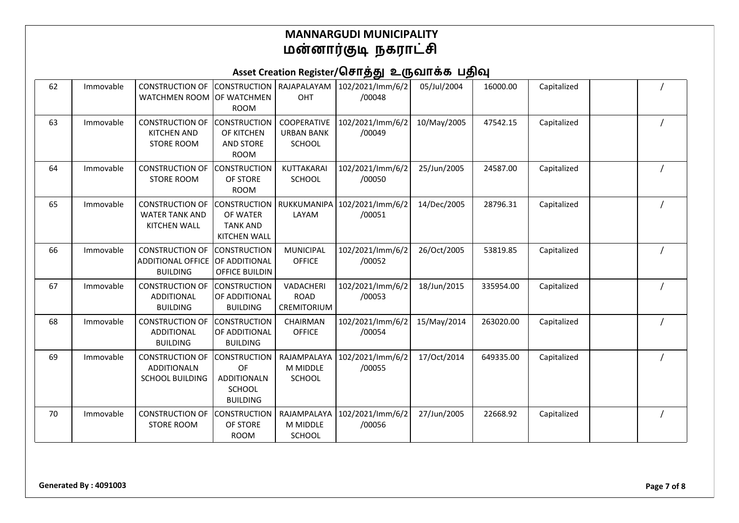| 62 | Immovable | CONSTRUCTION OF CONSTRUCTION   RAJAPALAYAM<br>WATCHMEN ROOM OF WATCHMEN | <b>ROOM</b>                                                                         | OHT                                                      | 102/2021/lmm/6/2<br>/00048 | 05/Jul/2004 | 16000.00  | Capitalized |  |
|----|-----------|-------------------------------------------------------------------------|-------------------------------------------------------------------------------------|----------------------------------------------------------|----------------------------|-------------|-----------|-------------|--|
| 63 | Immovable | <b>CONSTRUCTION OF</b><br><b>KITCHEN AND</b><br><b>STORE ROOM</b>       | <b>CONSTRUCTION</b><br>OF KITCHEN<br><b>AND STORE</b><br><b>ROOM</b>                | <b>COOPERATIVE</b><br><b>URBAN BANK</b><br><b>SCHOOL</b> | 102/2021/lmm/6/2<br>/00049 | 10/May/2005 | 47542.15  | Capitalized |  |
| 64 | Immovable | <b>CONSTRUCTION OF</b><br><b>STORE ROOM</b>                             | <b>CONSTRUCTION</b><br>OF STORE<br><b>ROOM</b>                                      | KUTTAKARAI<br><b>SCHOOL</b>                              | 102/2021/lmm/6/2<br>/00050 | 25/Jun/2005 | 24587.00  | Capitalized |  |
| 65 | Immovable | <b>CONSTRUCTION OF</b><br><b>WATER TANK AND</b><br><b>KITCHEN WALL</b>  | <b>CONSTRUCTION</b><br>OF WATER<br><b>TANK AND</b><br><b>KITCHEN WALL</b>           | RUKKUMANIPA<br>LAYAM                                     | 102/2021/lmm/6/2<br>/00051 | 14/Dec/2005 | 28796.31  | Capitalized |  |
| 66 | Immovable | <b>CONSTRUCTION OF</b><br><b>ADDITIONAL OFFICE</b><br><b>BUILDING</b>   | <b>CONSTRUCTION</b><br>OF ADDITIONAL<br>OFFICE BUILDIN                              | MUNICIPAL<br><b>OFFICE</b>                               | 102/2021/lmm/6/2<br>/00052 | 26/Oct/2005 | 53819.85  | Capitalized |  |
| 67 | Immovable | <b>CONSTRUCTION OF</b><br><b>ADDITIONAL</b><br><b>BUILDING</b>          | <b>CONSTRUCTION</b><br>OF ADDITIONAL<br><b>BUILDING</b>                             | VADACHERI<br><b>ROAD</b><br>CREMITORIUM                  | 102/2021/lmm/6/2<br>/00053 | 18/Jun/2015 | 335954.00 | Capitalized |  |
| 68 | Immovable | <b>CONSTRUCTION OF</b><br><b>ADDITIONAL</b><br><b>BUILDING</b>          | <b>CONSTRUCTION</b><br>OF ADDITIONAL<br><b>BUILDING</b>                             | CHAIRMAN<br><b>OFFICE</b>                                | 102/2021/lmm/6/2<br>/00054 | 15/May/2014 | 263020.00 | Capitalized |  |
| 69 | Immovable | <b>CONSTRUCTION OF</b><br><b>ADDITIONALN</b><br><b>SCHOOL BUILDING</b>  | <b>CONSTRUCTION</b><br>OF<br><b>ADDITIONALN</b><br><b>SCHOOL</b><br><b>BUILDING</b> | RAJAMPALAYA<br>M MIDDLE<br><b>SCHOOL</b>                 | 102/2021/lmm/6/2<br>/00055 | 17/Oct/2014 | 649335.00 | Capitalized |  |
| 70 | Immovable | <b>CONSTRUCTION OF</b><br><b>STORE ROOM</b>                             | <b>CONSTRUCTION</b><br>OF STORE<br><b>ROOM</b>                                      | RAJAMPALAYA<br>M MIDDLE<br><b>SCHOOL</b>                 | 102/2021/lmm/6/2<br>/00056 | 27/Jun/2005 | 22668.92  | Capitalized |  |